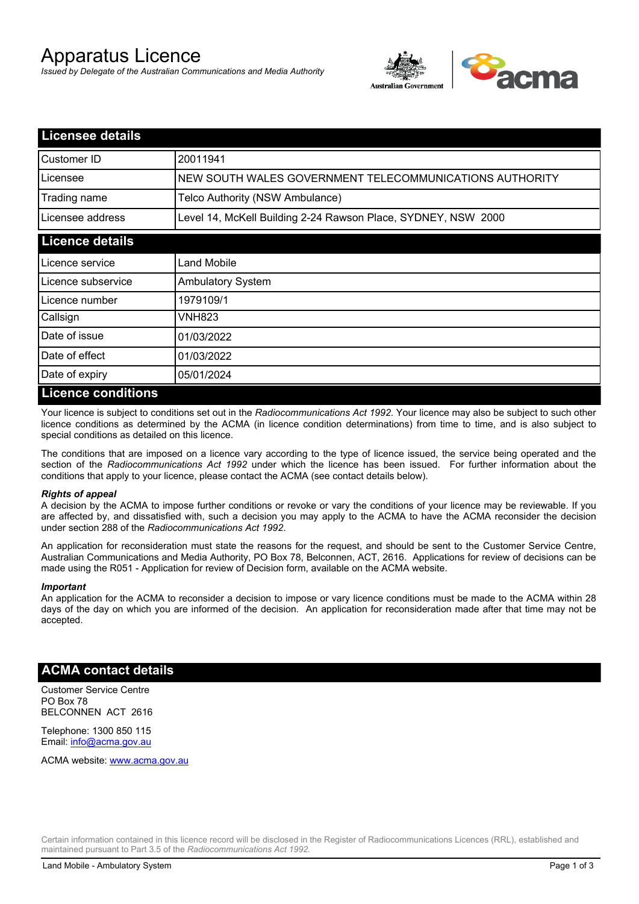# Apparatus Licence

*Issued by Delegate of the Australian Communications and Media Authority*



| <b>Licensee details</b>    |                                                               |
|----------------------------|---------------------------------------------------------------|
| Customer ID                | 20011941                                                      |
| Licensee                   | NEW SOUTH WALES GOVERNMENT TELECOMMUNICATIONS AUTHORITY       |
| Trading name               | Telco Authority (NSW Ambulance)                               |
| Licensee address           | Level 14, McKell Building 2-24 Rawson Place, SYDNEY, NSW 2000 |
| <b>Licence details</b>     |                                                               |
| Licence service            | Land Mobile                                                   |
| Licence subservice         | <b>Ambulatory System</b>                                      |
| Licence number             | 1979109/1                                                     |
| Callsign                   | <b>VNH823</b>                                                 |
| Date of issue              | 01/03/2022                                                    |
| Date of effect             | 01/03/2022                                                    |
| Date of expiry             | 05/01/2024                                                    |
| <u>I icence conditions</u> |                                                               |

### **Licence conditions**

Your licence is subject to conditions set out in the *Radiocommunications Act 1992*. Your licence may also be subject to such other licence conditions as determined by the ACMA (in licence condition determinations) from time to time, and is also subject to special conditions as detailed on this licence.

The conditions that are imposed on a licence vary according to the type of licence issued, the service being operated and the section of the *Radiocommunications Act 1992* under which the licence has been issued. For further information about the conditions that apply to your licence, please contact the ACMA (see contact details below).

#### *Rights of appeal*

A decision by the ACMA to impose further conditions or revoke or vary the conditions of your licence may be reviewable. If you are affected by, and dissatisfied with, such a decision you may apply to the ACMA to have the ACMA reconsider the decision under section 288 of the *Radiocommunications Act 1992*.

An application for reconsideration must state the reasons for the request, and should be sent to the Customer Service Centre, Australian Communications and Media Authority, PO Box 78, Belconnen, ACT, 2616. Applications for review of decisions can be made using the R051 - Application for review of Decision form, available on the ACMA website.

#### *Important*

An application for the ACMA to reconsider a decision to impose or vary licence conditions must be made to the ACMA within 28 days of the day on which you are informed of the decision. An application for reconsideration made after that time may not be accepted.

#### **ACMA contact details**

Customer Service Centre PO Box 78 BELCONNEN ACT 2616

Telephone: 1300 850 115 Email: info@acma.gov.au

ACMA website: www.acma.gov.au

Certain information contained in this licence record will be disclosed in the Register of Radiocommunications Licences (RRL), established and maintained pursuant to Part 3.5 of the *Radiocommunications Act 1992.*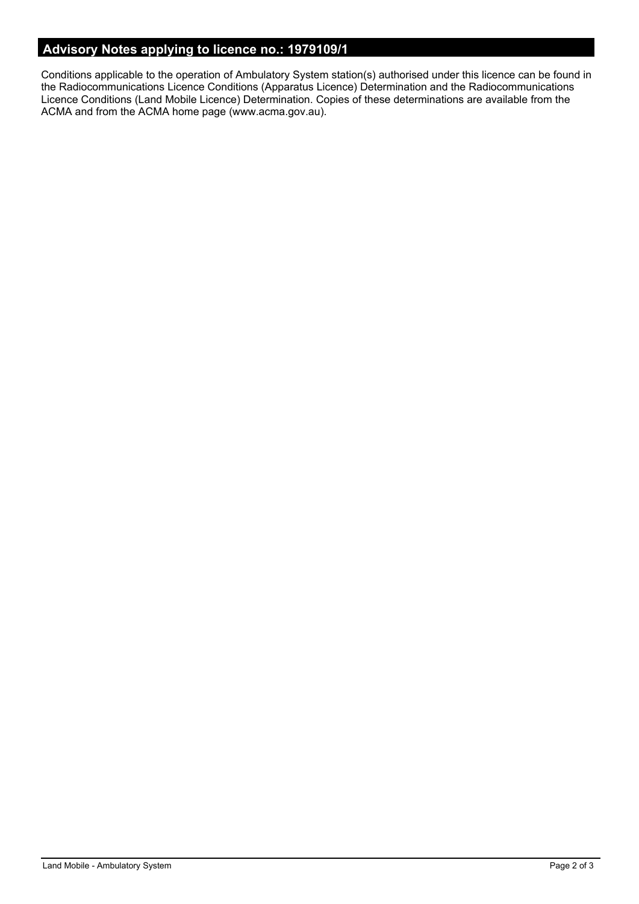# **Advisory Notes applying to licence no.: 1979109/1**

Conditions applicable to the operation of Ambulatory System station(s) authorised under this licence can be found in the Radiocommunications Licence Conditions (Apparatus Licence) Determination and the Radiocommunications Licence Conditions (Land Mobile Licence) Determination. Copies of these determinations are available from the ACMA and from the ACMA home page (www.acma.gov.au).